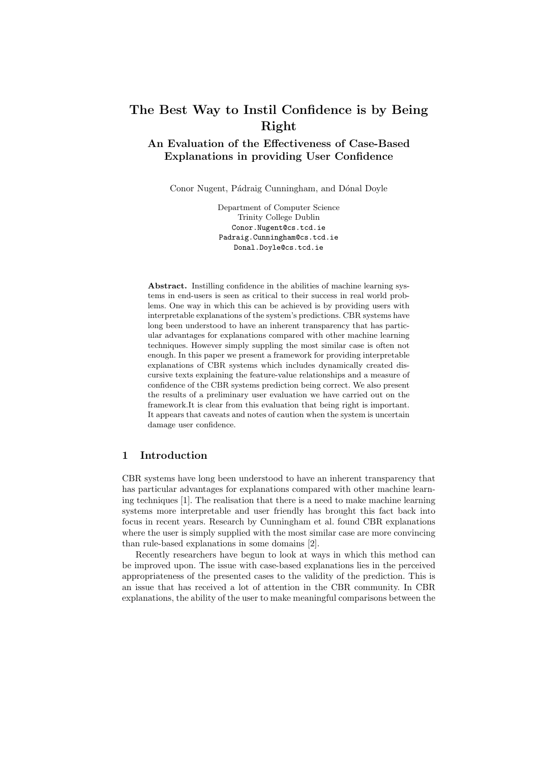# The Best Way to Instil Confidence is by Being Right

## An Evaluation of the Effectiveness of Case-Based Explanations in providing User Confidence

Conor Nugent, Pádraig Cunningham, and Dónal Doyle

Department of Computer Science Trinity College Dublin Conor.Nugent@cs.tcd.ie Padraig.Cunningham@cs.tcd.ie Donal.Doyle@cs.tcd.ie

Abstract. Instilling confidence in the abilities of machine learning systems in end-users is seen as critical to their success in real world problems. One way in which this can be achieved is by providing users with interpretable explanations of the system's predictions. CBR systems have long been understood to have an inherent transparency that has particular advantages for explanations compared with other machine learning techniques. However simply suppling the most similar case is often not enough. In this paper we present a framework for providing interpretable explanations of CBR systems which includes dynamically created discursive texts explaining the feature-value relationships and a measure of confidence of the CBR systems prediction being correct. We also present the results of a preliminary user evaluation we have carried out on the framework.It is clear from this evaluation that being right is important. It appears that caveats and notes of caution when the system is uncertain damage user confidence.

## 1 Introduction

CBR systems have long been understood to have an inherent transparency that has particular advantages for explanations compared with other machine learning techniques [1]. The realisation that there is a need to make machine learning systems more interpretable and user friendly has brought this fact back into focus in recent years. Research by Cunningham et al. found CBR explanations where the user is simply supplied with the most similar case are more convincing than rule-based explanations in some domains [2].

Recently researchers have begun to look at ways in which this method can be improved upon. The issue with case-based explanations lies in the perceived appropriateness of the presented cases to the validity of the prediction. This is an issue that has received a lot of attention in the CBR community. In CBR explanations, the ability of the user to make meaningful comparisons between the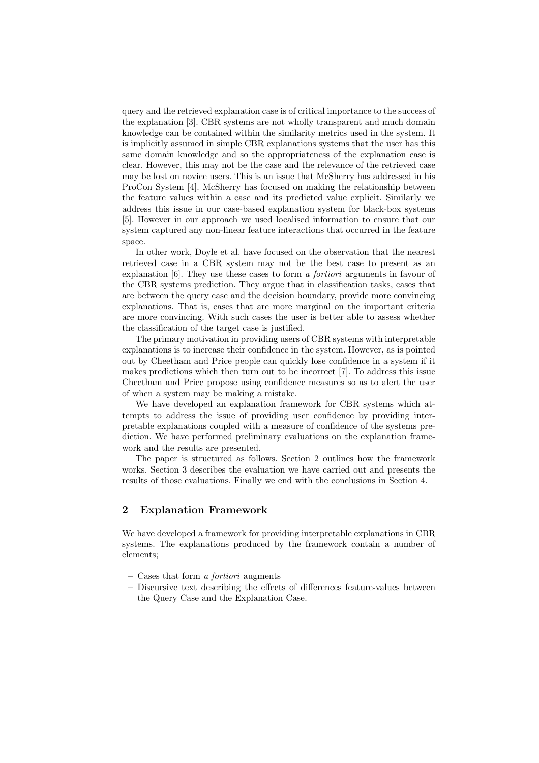query and the retrieved explanation case is of critical importance to the success of the explanation [3]. CBR systems are not wholly transparent and much domain knowledge can be contained within the similarity metrics used in the system. It is implicitly assumed in simple CBR explanations systems that the user has this same domain knowledge and so the appropriateness of the explanation case is clear. However, this may not be the case and the relevance of the retrieved case may be lost on novice users. This is an issue that McSherry has addressed in his ProCon System [4]. McSherry has focused on making the relationship between the feature values within a case and its predicted value explicit. Similarly we address this issue in our case-based explanation system for black-box systems [5]. However in our approach we used localised information to ensure that our system captured any non-linear feature interactions that occurred in the feature space.

In other work, Doyle et al. have focused on the observation that the nearest retrieved case in a CBR system may not be the best case to present as an explanation [6]. They use these cases to form a fortiori arguments in favour of the CBR systems prediction. They argue that in classification tasks, cases that are between the query case and the decision boundary, provide more convincing explanations. That is, cases that are more marginal on the important criteria are more convincing. With such cases the user is better able to assess whether the classification of the target case is justified.

The primary motivation in providing users of CBR systems with interpretable explanations is to increase their confidence in the system. However, as is pointed out by Cheetham and Price people can quickly lose confidence in a system if it makes predictions which then turn out to be incorrect [7]. To address this issue Cheetham and Price propose using confidence measures so as to alert the user of when a system may be making a mistake.

We have developed an explanation framework for CBR systems which attempts to address the issue of providing user confidence by providing interpretable explanations coupled with a measure of confidence of the systems prediction. We have performed preliminary evaluations on the explanation framework and the results are presented.

The paper is structured as follows. Section 2 outlines how the framework works. Section 3 describes the evaluation we have carried out and presents the results of those evaluations. Finally we end with the conclusions in Section 4.

## 2 Explanation Framework

We have developed a framework for providing interpretable explanations in CBR systems. The explanations produced by the framework contain a number of elements;

- Cases that form a fortiori augments
- Discursive text describing the effects of differences feature-values between the Query Case and the Explanation Case.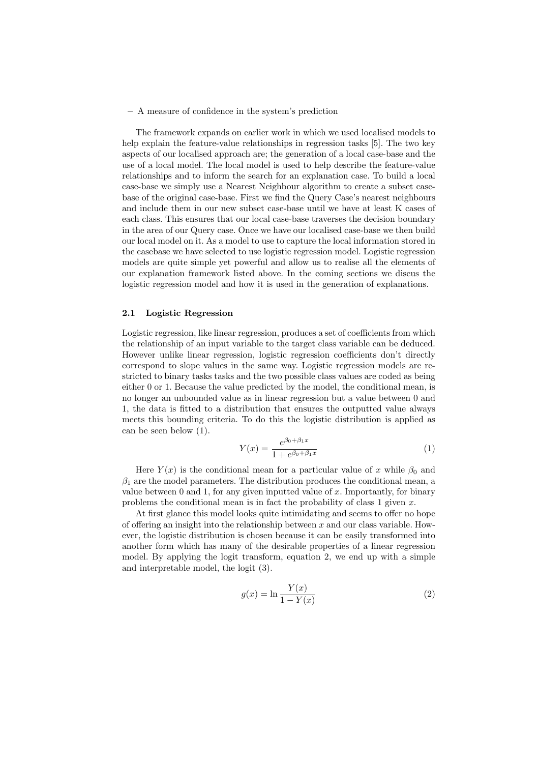– A measure of confidence in the system's prediction

The framework expands on earlier work in which we used localised models to help explain the feature-value relationships in regression tasks [5]. The two key aspects of our localised approach are; the generation of a local case-base and the use of a local model. The local model is used to help describe the feature-value relationships and to inform the search for an explanation case. To build a local case-base we simply use a Nearest Neighbour algorithm to create a subset casebase of the original case-base. First we find the Query Case's nearest neighbours and include them in our new subset case-base until we have at least K cases of each class. This ensures that our local case-base traverses the decision boundary in the area of our Query case. Once we have our localised case-base we then build our local model on it. As a model to use to capture the local information stored in the casebase we have selected to use logistic regression model. Logistic regression models are quite simple yet powerful and allow us to realise all the elements of our explanation framework listed above. In the coming sections we discus the logistic regression model and how it is used in the generation of explanations.

#### 2.1 Logistic Regression

Logistic regression, like linear regression, produces a set of coefficients from which the relationship of an input variable to the target class variable can be deduced. However unlike linear regression, logistic regression coefficients don't directly correspond to slope values in the same way. Logistic regression models are restricted to binary tasks tasks and the two possible class values are coded as being either 0 or 1. Because the value predicted by the model, the conditional mean, is no longer an unbounded value as in linear regression but a value between 0 and 1, the data is fitted to a distribution that ensures the outputted value always meets this bounding criteria. To do this the logistic distribution is applied as can be seen below (1).

$$
Y(x) = \frac{e^{\beta_0 + \beta_1 x}}{1 + e^{\beta_0 + \beta_1 x}}\tag{1}
$$

Here  $Y(x)$  is the conditional mean for a particular value of x while  $\beta_0$  and  $\beta_1$  are the model parameters. The distribution produces the conditional mean, a value between 0 and 1, for any given inputted value of  $x$ . Importantly, for binary problems the conditional mean is in fact the probability of class 1 given  $x$ .

At first glance this model looks quite intimidating and seems to offer no hope of offering an insight into the relationship between x and our class variable. However, the logistic distribution is chosen because it can be easily transformed into another form which has many of the desirable properties of a linear regression model. By applying the logit transform, equation 2, we end up with a simple and interpretable model, the logit (3).

$$
g(x) = \ln \frac{Y(x)}{1 - Y(x)}\tag{2}
$$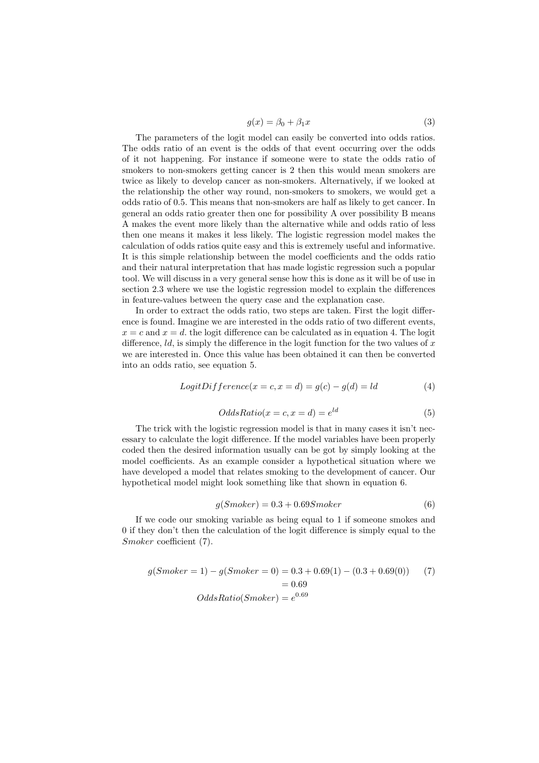$$
g(x) = \beta_0 + \beta_1 x \tag{3}
$$

The parameters of the logit model can easily be converted into odds ratios. The odds ratio of an event is the odds of that event occurring over the odds of it not happening. For instance if someone were to state the odds ratio of smokers to non-smokers getting cancer is 2 then this would mean smokers are twice as likely to develop cancer as non-smokers. Alternatively, if we looked at the relationship the other way round, non-smokers to smokers, we would get a odds ratio of 0.5. This means that non-smokers are half as likely to get cancer. In general an odds ratio greater then one for possibility A over possibility B means A makes the event more likely than the alternative while and odds ratio of less then one means it makes it less likely. The logistic regression model makes the calculation of odds ratios quite easy and this is extremely useful and informative. It is this simple relationship between the model coefficients and the odds ratio and their natural interpretation that has made logistic regression such a popular tool. We will discuss in a very general sense how this is done as it will be of use in section 2.3 where we use the logistic regression model to explain the differences in feature-values between the query case and the explanation case.

In order to extract the odds ratio, two steps are taken. First the logit difference is found. Imagine we are interested in the odds ratio of two different events,  $x = c$  and  $x = d$ , the logit difference can be calculated as in equation 4. The logit difference,  $ld$ , is simply the difference in the logit function for the two values of x we are interested in. Once this value has been obtained it can then be converted into an odds ratio, see equation 5.

$$
LogitDifference(x = c, x = d) = g(c) - g(d) = ld
$$
\n
$$
(4)
$$

$$
OddsRatio(x = c, x = d) = e^{ld}
$$
\n<sup>(5)</sup>

The trick with the logistic regression model is that in many cases it isn't necessary to calculate the logit difference. If the model variables have been properly coded then the desired information usually can be got by simply looking at the model coefficients. As an example consider a hypothetical situation where we have developed a model that relates smoking to the development of cancer. Our hypothetical model might look something like that shown in equation 6.

$$
g(Smoker) = 0.3 + 0.69Smoker
$$
\n<sup>(6)</sup>

If we code our smoking variable as being equal to 1 if someone smokes and 0 if they don't then the calculation of the logit difference is simply equal to the Smoker coefficient (7).

$$
g(Smoker = 1) - g(Smoker = 0) = 0.3 + 0.69(1) - (0.3 + 0.69(0))
$$
 (7)  
= 0.69  

$$
OddsRatio(Smoker) = e^{0.69}
$$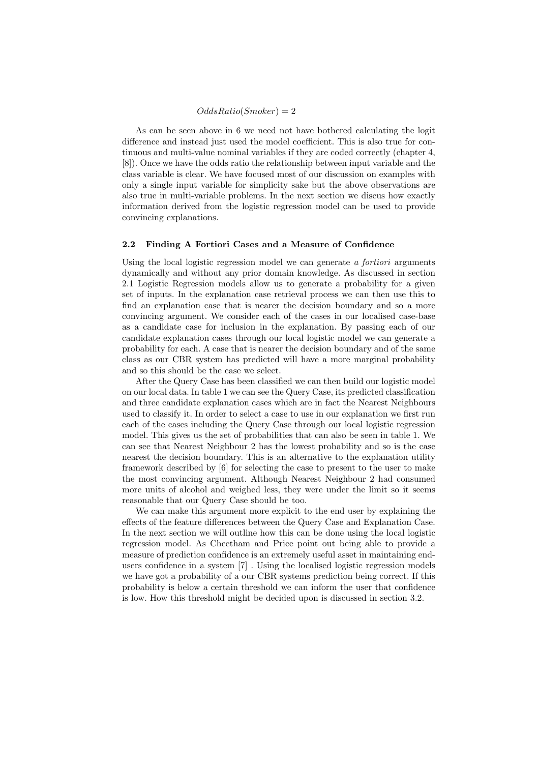As can be seen above in 6 we need not have bothered calculating the logit difference and instead just used the model coefficient. This is also true for continuous and multi-value nominal variables if they are coded correctly (chapter 4, [8]). Once we have the odds ratio the relationship between input variable and the class variable is clear. We have focused most of our discussion on examples with only a single input variable for simplicity sake but the above observations are also true in multi-variable problems. In the next section we discus how exactly information derived from the logistic regression model can be used to provide convincing explanations.

#### 2.2 Finding A Fortiori Cases and a Measure of Confidence

Using the local logistic regression model we can generate a fortiori arguments dynamically and without any prior domain knowledge. As discussed in section 2.1 Logistic Regression models allow us to generate a probability for a given set of inputs. In the explanation case retrieval process we can then use this to find an explanation case that is nearer the decision boundary and so a more convincing argument. We consider each of the cases in our localised case-base as a candidate case for inclusion in the explanation. By passing each of our candidate explanation cases through our local logistic model we can generate a probability for each. A case that is nearer the decision boundary and of the same class as our CBR system has predicted will have a more marginal probability and so this should be the case we select.

After the Query Case has been classified we can then build our logistic model on our local data. In table 1 we can see the Query Case, its predicted classification and three candidate explanation cases which are in fact the Nearest Neighbours used to classify it. In order to select a case to use in our explanation we first run each of the cases including the Query Case through our local logistic regression model. This gives us the set of probabilities that can also be seen in table 1. We can see that Nearest Neighbour 2 has the lowest probability and so is the case nearest the decision boundary. This is an alternative to the explanation utility framework described by [6] for selecting the case to present to the user to make the most convincing argument. Although Nearest Neighbour 2 had consumed more units of alcohol and weighed less, they were under the limit so it seems reasonable that our Query Case should be too.

We can make this argument more explicit to the end user by explaining the effects of the feature differences between the Query Case and Explanation Case. In the next section we will outline how this can be done using the local logistic regression model. As Cheetham and Price point out being able to provide a measure of prediction confidence is an extremely useful asset in maintaining endusers confidence in a system [7] . Using the localised logistic regression models we have got a probability of a our CBR systems prediction being correct. If this probability is below a certain threshold we can inform the user that confidence is low. How this threshold might be decided upon is discussed in section 3.2.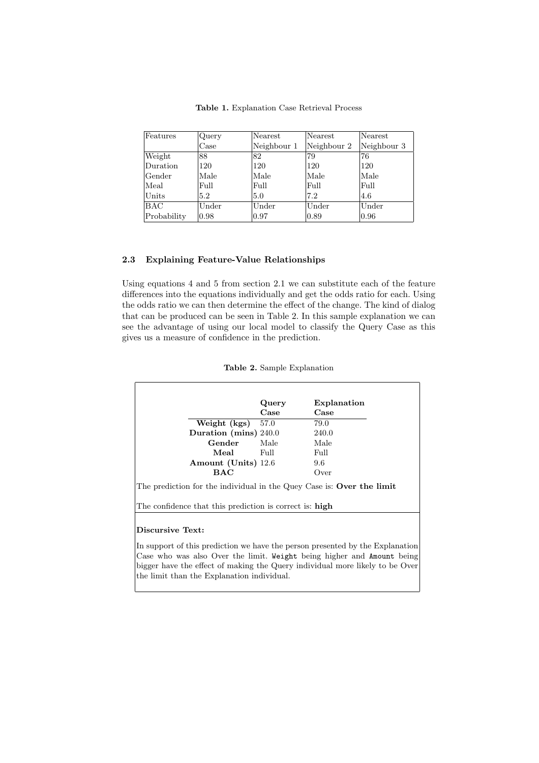### Table 1. Explanation Case Retrieval Process

| Features    | Query | Nearest     | Nearest     | Nearest     |
|-------------|-------|-------------|-------------|-------------|
|             | Case  | Neighbour 1 | Neighbour 2 | Neighbour 3 |
| Weight      | 88    | 82          | 79          | 76          |
| Duration    | 120   | 120         | 120         | 120         |
| Gender      | Male  | Male        | Male        | Male        |
| Meal        | Full  | Full        | Full        | Full        |
| Units       | 5.2   | 5.0         | 7.2         | 4.6         |
| <b>BAC</b>  | Under | Under       | Under       | Under       |
| Probability | 0.98  | 0.97        | 0.89        | 0.96        |

## 2.3 Explaining Feature-Value Relationships

the limit than the Explanation individual.

Using equations 4 and 5 from section 2.1 we can substitute each of the feature differences into the equations individually and get the odds ratio for each. Using the odds ratio we can then determine the effect of the change. The kind of dialog that can be produced can be seen in Table 2. In this sample explanation we can see the advantage of using our local model to classify the Query Case as this gives us a measure of confidence in the prediction.

|                                                                                                                                                                                                                                         | Query      | Explanation |
|-----------------------------------------------------------------------------------------------------------------------------------------------------------------------------------------------------------------------------------------|------------|-------------|
|                                                                                                                                                                                                                                         | $\bf Case$ | Case        |
| Weight (kgs)                                                                                                                                                                                                                            | 57.0       | 79.0        |
| Duration (mins) $240.0$                                                                                                                                                                                                                 |            | 240.0       |
| Gender                                                                                                                                                                                                                                  | Male       | Male        |
| Meal                                                                                                                                                                                                                                    | Full       | Full        |
| <b>Amount (Units)</b> 12.6                                                                                                                                                                                                              |            | 9.6         |
| <b>BAC</b>                                                                                                                                                                                                                              |            | Over        |
| The prediction for the individual in the Quey Case is: <b>Over the limit</b><br>The confidence that this prediction is correct is: high                                                                                                 |            |             |
| Discursive Text:                                                                                                                                                                                                                        |            |             |
| In support of this prediction we have the person presented by the Explanation<br>Case who was also Over the limit. Weight being higher and Amount being<br>bigger have the effect of making the Query individual more likely to be Over |            |             |

|  |  |  | Table 2. Sample Explanation |
|--|--|--|-----------------------------|
|--|--|--|-----------------------------|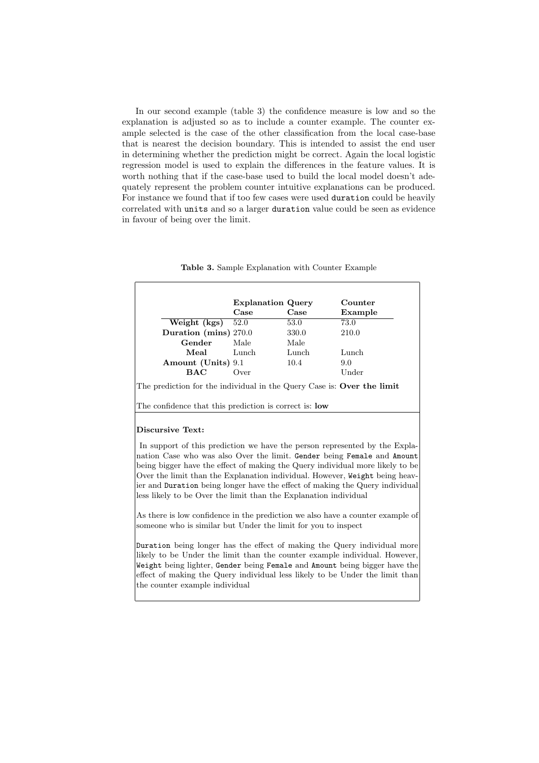In our second example (table 3) the confidence measure is low and so the explanation is adjusted so as to include a counter example. The counter example selected is the case of the other classification from the local case-base that is nearest the decision boundary. This is intended to assist the end user in determining whether the prediction might be correct. Again the local logistic regression model is used to explain the differences in the feature values. It is worth nothing that if the case-base used to build the local model doesn't adequately represent the problem counter intuitive explanations can be produced. For instance we found that if too few cases were used duration could be heavily correlated with units and so a larger duration value could be seen as evidence in favour of being over the limit.

|                                                                                                                                                                                                                                                                                                                                                                                                                                                                                                                                                                                                                                                                                                                                                                                                                                                                                                                                                                                                            | <b>Explanation Query</b> |       | Counter |
|------------------------------------------------------------------------------------------------------------------------------------------------------------------------------------------------------------------------------------------------------------------------------------------------------------------------------------------------------------------------------------------------------------------------------------------------------------------------------------------------------------------------------------------------------------------------------------------------------------------------------------------------------------------------------------------------------------------------------------------------------------------------------------------------------------------------------------------------------------------------------------------------------------------------------------------------------------------------------------------------------------|--------------------------|-------|---------|
|                                                                                                                                                                                                                                                                                                                                                                                                                                                                                                                                                                                                                                                                                                                                                                                                                                                                                                                                                                                                            | Case                     | Case  | Example |
| Weight (kgs)                                                                                                                                                                                                                                                                                                                                                                                                                                                                                                                                                                                                                                                                                                                                                                                                                                                                                                                                                                                               | 52.0                     | 53.0  | 73.0    |
| Duration (mins) 270.0                                                                                                                                                                                                                                                                                                                                                                                                                                                                                                                                                                                                                                                                                                                                                                                                                                                                                                                                                                                      |                          | 330.0 | 210.0   |
| Gender                                                                                                                                                                                                                                                                                                                                                                                                                                                                                                                                                                                                                                                                                                                                                                                                                                                                                                                                                                                                     | Male                     | Male  |         |
| Meal                                                                                                                                                                                                                                                                                                                                                                                                                                                                                                                                                                                                                                                                                                                                                                                                                                                                                                                                                                                                       | Lunch                    | Lunch | Lunch   |
| Amount (Units) 9.1                                                                                                                                                                                                                                                                                                                                                                                                                                                                                                                                                                                                                                                                                                                                                                                                                                                                                                                                                                                         |                          | 10.4  | 9.0     |
| $\bf BAC$                                                                                                                                                                                                                                                                                                                                                                                                                                                                                                                                                                                                                                                                                                                                                                                                                                                                                                                                                                                                  | Over                     |       | Under   |
| The prediction for the individual in the Query Case is: Over the limit<br>The confidence that this prediction is correct is: <b>low</b>                                                                                                                                                                                                                                                                                                                                                                                                                                                                                                                                                                                                                                                                                                                                                                                                                                                                    |                          |       |         |
| Discursive Text:<br>In support of this prediction we have the person represented by the Expla-<br>nation Case who was also Over the limit. Gender being Female and Amount<br>being bigger have the effect of making the Query individual more likely to be<br>Over the limit than the Explanation individual. However, Weight being heav-<br>ier and Duration being longer have the effect of making the Query individual<br>less likely to be Over the limit than the Explanation individual<br>As there is low confidence in the prediction we also have a counter example of<br>someone who is similar but Under the limit for you to inspect<br>Duration being longer has the effect of making the Query individual more<br>likely to be Under the limit than the counter example individual. However,<br>Weight being lighter, Gender being Female and Amount being bigger have the<br>effect of making the Query individual less likely to be Under the limit than<br>the counter example individual |                          |       |         |

|  |  | Table 3. Sample Explanation with Counter Example |  |  |  |
|--|--|--------------------------------------------------|--|--|--|
|--|--|--------------------------------------------------|--|--|--|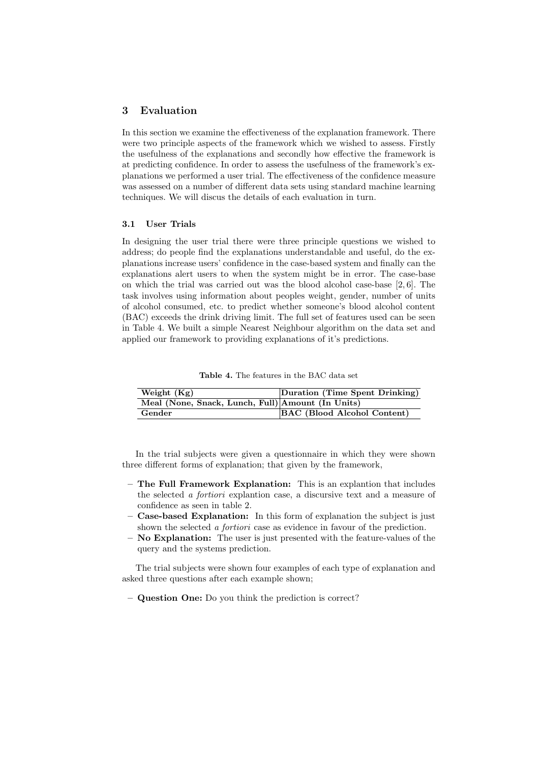#### 3 Evaluation

In this section we examine the effectiveness of the explanation framework. There were two principle aspects of the framework which we wished to assess. Firstly the usefulness of the explanations and secondly how effective the framework is at predicting confidence. In order to assess the usefulness of the framework's explanations we performed a user trial. The effectiveness of the confidence measure was assessed on a number of different data sets using standard machine learning techniques. We will discus the details of each evaluation in turn.

#### 3.1 User Trials

In designing the user trial there were three principle questions we wished to address; do people find the explanations understandable and useful, do the explanations increase users' confidence in the case-based system and finally can the explanations alert users to when the system might be in error. The case-base on which the trial was carried out was the blood alcohol case-base [2, 6]. The task involves using information about peoples weight, gender, number of units of alcohol consumed, etc. to predict whether someone's blood alcohol content (BAC) exceeds the drink driving limit. The full set of features used can be seen in Table 4. We built a simple Nearest Neighbour algorithm on the data set and applied our framework to providing explanations of it's predictions.

|  | <b>Table 4.</b> The features in the BAC data set |
|--|--------------------------------------------------|
|--|--------------------------------------------------|

| Weight $(Kg)$                                     | Duration (Time Spent Drinking)     |
|---------------------------------------------------|------------------------------------|
| Meal (None, Snack, Lunch, Full) Amount (In Units) |                                    |
| Gender                                            | <b>BAC</b> (Blood Alcohol Content) |

In the trial subjects were given a questionnaire in which they were shown three different forms of explanation; that given by the framework,

- The Full Framework Explanation: This is an explantion that includes the selected a fortiori explantion case, a discursive text and a measure of confidence as seen in table 2.
- Case-based Explanation: In this form of explanation the subject is just shown the selected a fortiori case as evidence in favour of the prediction.
- $-$  No Explanation: The user is just presented with the feature-values of the query and the systems prediction.

The trial subjects were shown four examples of each type of explanation and asked three questions after each example shown;

– Question One: Do you think the prediction is correct?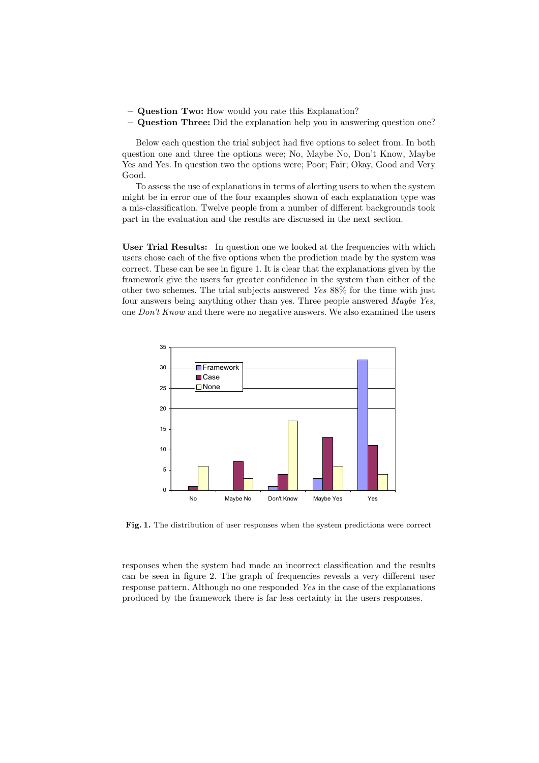- Question Two: How would you rate this Explanation?
- Question Three: Did the explanation help you in answering question one?

Below each question the trial subject had five options to select from. In both question one and three the options were; No, Maybe No, Don't Know, Maybe Yes and Yes. In question two the options were; Poor; Fair; Okay, Good and Very Good.

To assess the use of explanations in terms of alerting users to when the system might be in error one of the four examples shown of each explanation type was a mis-classification. Twelve people from a number of different backgrounds took part in the evaluation and the results are discussed in the next section.

User Trial Results: In question one we looked at the frequencies with which users chose each of the five options when the prediction made by the system was correct. These can be see in figure 1. It is clear that the explanations given by the framework give the users far greater confidence in the system than either of the other two schemes. The trial subjects answered Yes 88% for the time with just four answers being anything other than yes. Three people answered Maybe Yes, one Don't Know and there were no negative answers. We also examined the users



Fig. 1. The distribution of user responses when the system predictions were correct

responses when the system had made an incorrect classification and the results can be seen in figure 2. The graph of frequencies reveals a very different user response pattern. Although no one responded Yes in the case of the explanations produced by the framework there is far less certainty in the users responses.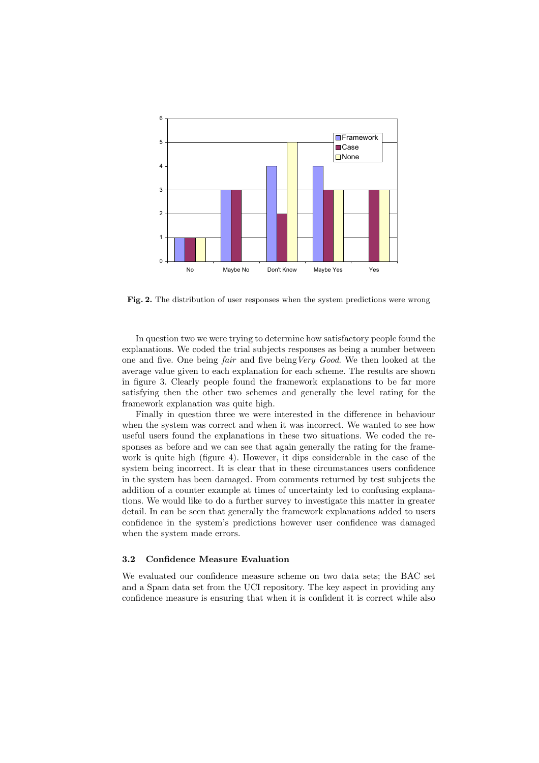

Fig. 2. The distribution of user responses when the system predictions were wrong

In question two we were trying to determine how satisfactory people found the explanations. We coded the trial subjects responses as being a number between one and five. One being *fair* and five being *Very Good*. We then looked at the average value given to each explanation for each scheme. The results are shown in figure 3. Clearly people found the framework explanations to be far more satisfying then the other two schemes and generally the level rating for the framework explanation was quite high.

Finally in question three we were interested in the difference in behaviour when the system was correct and when it was incorrect. We wanted to see how useful users found the explanations in these two situations. We coded the responses as before and we can see that again generally the rating for the framework is quite high (figure 4). However, it dips considerable in the case of the system being incorrect. It is clear that in these circumstances users confidence in the system has been damaged. From comments returned by test subjects the addition of a counter example at times of uncertainty led to confusing explanations. We would like to do a further survey to investigate this matter in greater detail. In can be seen that generally the framework explanations added to users confidence in the system's predictions however user confidence was damaged when the system made errors.

#### 3.2 Confidence Measure Evaluation

We evaluated our confidence measure scheme on two data sets; the BAC set and a Spam data set from the UCI repository. The key aspect in providing any confidence measure is ensuring that when it is confident it is correct while also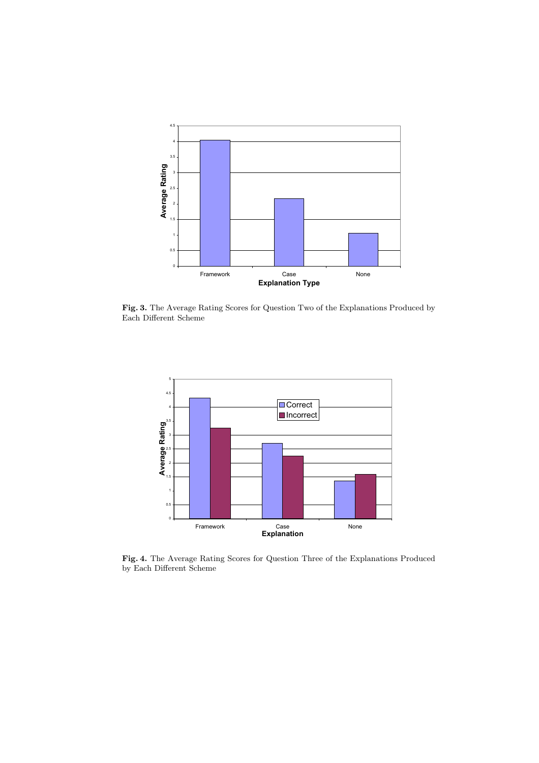

Fig. 3. The Average Rating Scores for Question Two of the Explanations Produced by Each Different Scheme



Fig. 4. The Average Rating Scores for Question Three of the Explanations Produced by Each Different Scheme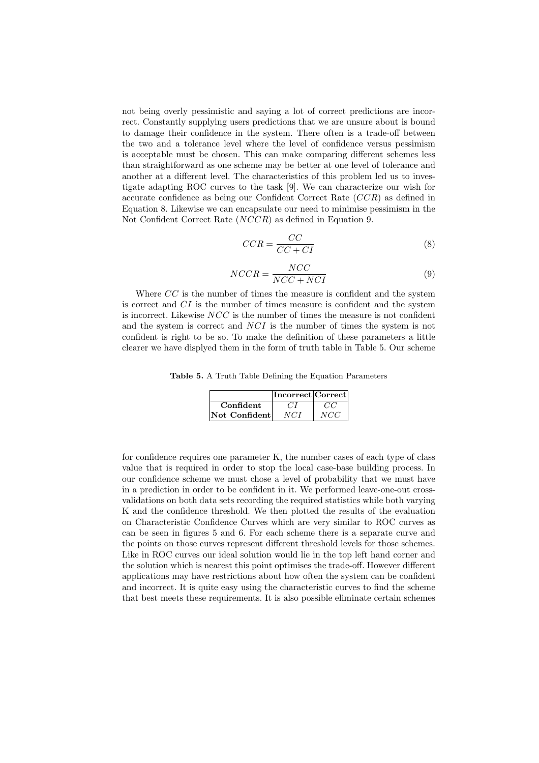not being overly pessimistic and saying a lot of correct predictions are incorrect. Constantly supplying users predictions that we are unsure about is bound to damage their confidence in the system. There often is a trade-off between the two and a tolerance level where the level of confidence versus pessimism is acceptable must be chosen. This can make comparing different schemes less than straightforward as one scheme may be better at one level of tolerance and another at a different level. The characteristics of this problem led us to investigate adapting ROC curves to the task [9]. We can characterize our wish for accurate confidence as being our Confident Correct Rate (CCR) as defined in Equation 8. Likewise we can encapsulate our need to minimise pessimism in the Not Confident Correct Rate (NCCR) as defined in Equation 9.

$$
CCR = \frac{CC}{CC + CI}
$$
 (8)

$$
NCCR = \frac{NCC}{NCC + NCI} \tag{9}
$$

Where CC is the number of times the measure is confident and the system is correct and  $CI$  is the number of times measure is confident and the system is incorrect. Likewise  $NCC$  is the number of times the measure is not confident and the system is correct and NCI is the number of times the system is not confident is right to be so. To make the definition of these parameters a little clearer we have displyed them in the form of truth table in Table 5. Our scheme

Table 5. A Truth Table Defining the Equation Parameters

|               | Incorrect Correct |     |
|---------------|-------------------|-----|
| Confident     | 77                |     |
| Not Confident | NC I              | NCC |

for confidence requires one parameter K, the number cases of each type of class value that is required in order to stop the local case-base building process. In our confidence scheme we must chose a level of probability that we must have in a prediction in order to be confident in it. We performed leave-one-out crossvalidations on both data sets recording the required statistics while both varying K and the confidence threshold. We then plotted the results of the evaluation on Characteristic Confidence Curves which are very similar to ROC curves as can be seen in figures 5 and 6. For each scheme there is a separate curve and the points on those curves represent different threshold levels for those schemes. Like in ROC curves our ideal solution would lie in the top left hand corner and the solution which is nearest this point optimises the trade-off. However different applications may have restrictions about how often the system can be confident and incorrect. It is quite easy using the characteristic curves to find the scheme that best meets these requirements. It is also possible eliminate certain schemes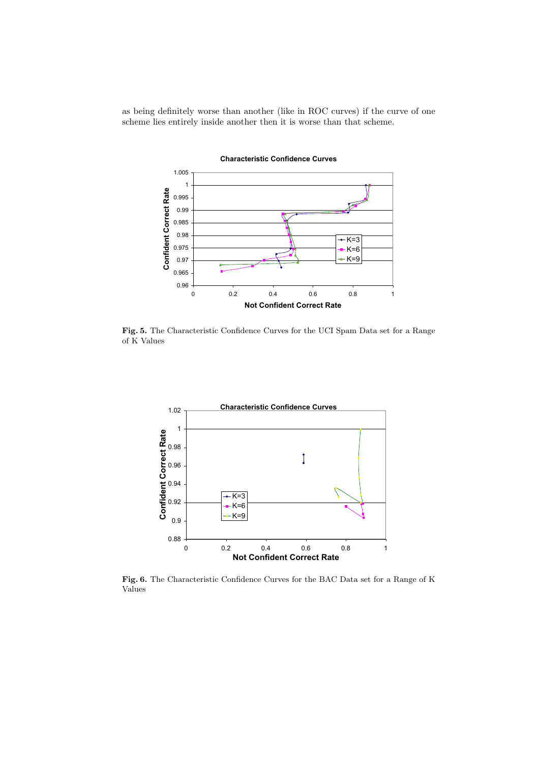as being definitely worse than another (like in ROC curves) if the curve of one scheme lies entirely inside another then it is worse than that scheme.



Fig. 5. The Characteristic Confidence Curves for the UCI Spam Data set for a Range of K Values



Fig. 6. The Characteristic Confidence Curves for the BAC Data set for a Range of K Values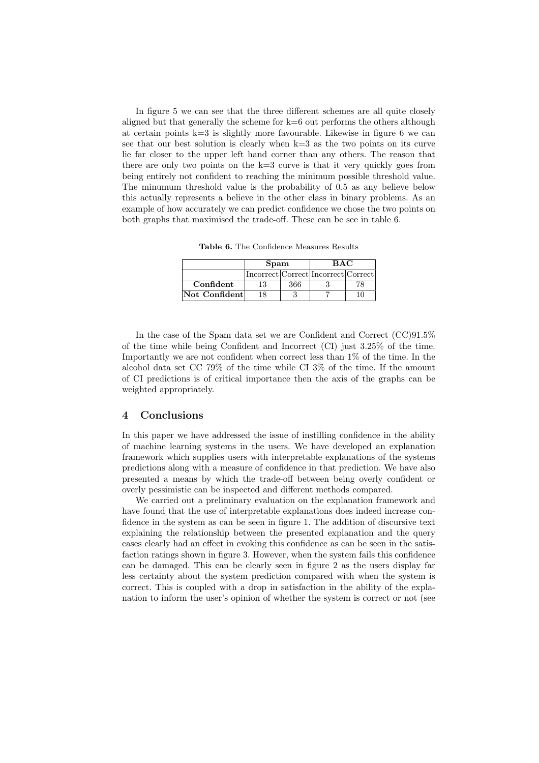In figure 5 we can see that the three different schemes are all quite closely aligned but that generally the scheme for  $k=6$  out performs the others although at certain points  $k=3$  is slightly more favourable. Likewise in figure 6 we can see that our best solution is clearly when  $k=3$  as the two points on its curve lie far closer to the upper left hand corner than any others. The reason that there are only two points on the  $k=3$  curve is that it very quickly goes from being entirely not confident to reaching the minimum possible threshold value. The minumum threshold value is the probability of 0.5 as any believe below this actually represents a believe in the other class in binary problems. As an example of how accurately we can predict confidence we chose the two points on both graphs that maximised the trade-off. These can be see in table 6.

Table 6. The Confidence Measures Results

|               | Spam                                      |     | <b>BAC</b> |  |
|---------------|-------------------------------------------|-----|------------|--|
|               | Incorrect   Correct   Incorrect   Correct |     |            |  |
| Confident     |                                           | 366 |            |  |
| Not Confident |                                           |     |            |  |

In the case of the Spam data set we are Confident and Correct (CC)91.5% of the time while being Confident and Incorrect (CI) just 3.25% of the time. Importantly we are not confident when correct less than 1% of the time. In the alcohol data set CC 79% of the time while CI 3% of the time. If the amount of CI predictions is of critical importance then the axis of the graphs can be weighted appropriately.

#### 4 Conclusions

In this paper we have addressed the issue of instilling confidence in the ability of machine learning systems in the users. We have developed an explanation framework which supplies users with interpretable explanations of the systems predictions along with a measure of confidence in that prediction. We have also presented a means by which the trade-off between being overly confident or overly pessimistic can be inspected and different methods compared.

We carried out a preliminary evaluation on the explanation framework and have found that the use of interpretable explanations does indeed increase confidence in the system as can be seen in figure 1. The addition of discursive text explaining the relationship between the presented explanation and the query cases clearly had an effect in evoking this confidence as can be seen in the satisfaction ratings shown in figure 3. However, when the system fails this confidence can be damaged. This can be clearly seen in figure 2 as the users display far less certainty about the system prediction compared with when the system is correct. This is coupled with a drop in satisfaction in the ability of the explanation to inform the user's opinion of whether the system is correct or not (see